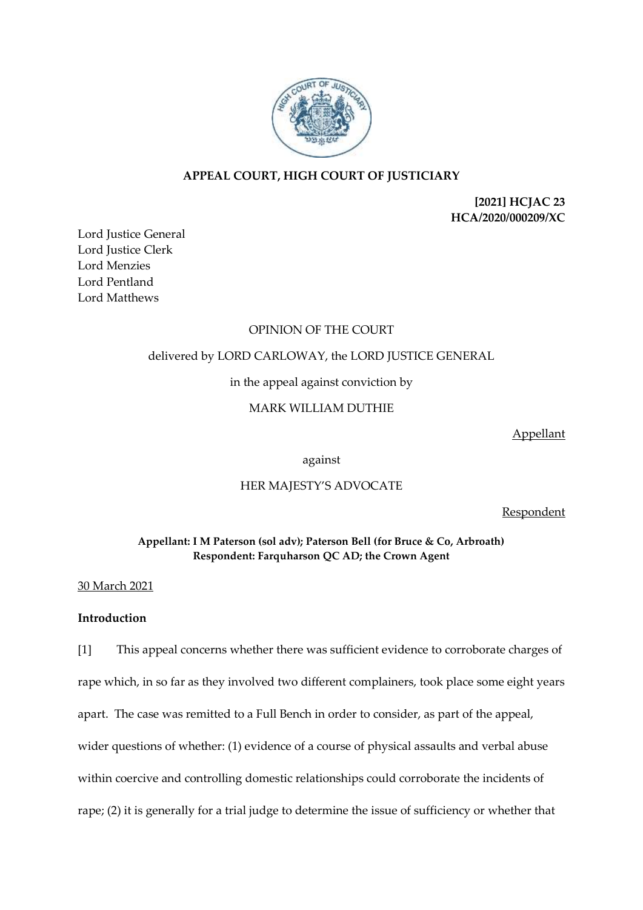

# **APPEAL COURT, HIGH COURT OF JUSTICIARY**

**[2021] HCJAC 23 HCA/2020/000209/XC**

Lord Justice General Lord Justice Clerk Lord Menzies Lord Pentland Lord Matthews

# OPINION OF THE COURT

# delivered by LORD CARLOWAY, the LORD JUSTICE GENERAL

in the appeal against conviction by

MARK WILLIAM DUTHIE

Appellant

against

# HER MAJESTY'S ADVOCATE

Respondent

## **Appellant: I M Paterson (sol adv); Paterson Bell (for Bruce & Co, Arbroath) Respondent: Farquharson QC AD; the Crown Agent**

## 30 March 2021

# **Introduction**

[1] This appeal concerns whether there was sufficient evidence to corroborate charges of rape which, in so far as they involved two different complainers, took place some eight years apart. The case was remitted to a Full Bench in order to consider, as part of the appeal, wider questions of whether: (1) evidence of a course of physical assaults and verbal abuse within coercive and controlling domestic relationships could corroborate the incidents of rape; (2) it is generally for a trial judge to determine the issue of sufficiency or whether that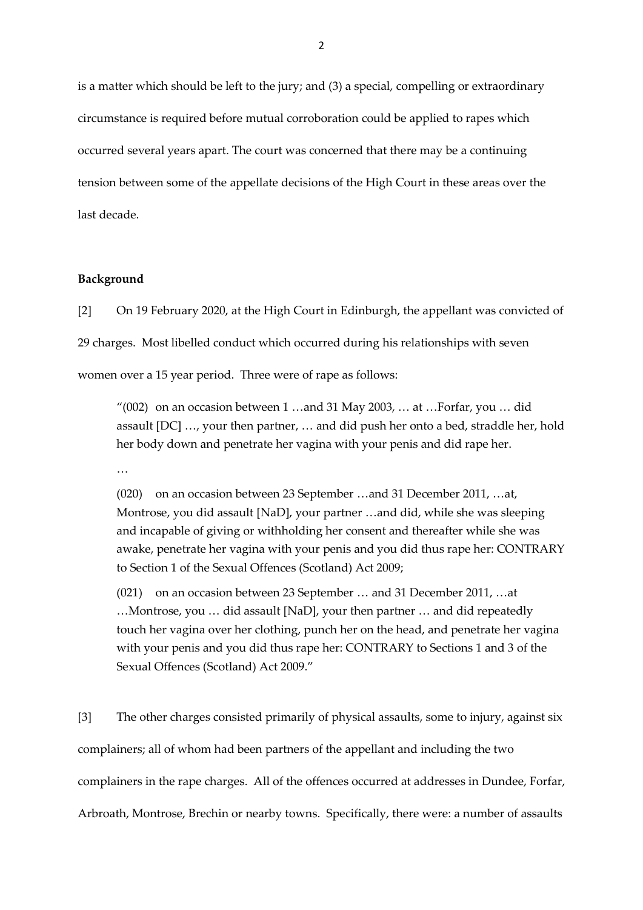is a matter which should be left to the jury; and (3) a special, compelling or extraordinary circumstance is required before mutual corroboration could be applied to rapes which occurred several years apart. The court was concerned that there may be a continuing tension between some of the appellate decisions of the High Court in these areas over the last decade.

### **Background**

[2] On 19 February 2020, at the High Court in Edinburgh, the appellant was convicted of 29 charges. Most libelled conduct which occurred during his relationships with seven women over a 15 year period. Three were of rape as follows:

"(002) on an occasion between 1 …and 31 May 2003, … at …Forfar, you … did assault [DC] …, your then partner, … and did push her onto a bed, straddle her, hold her body down and penetrate her vagina with your penis and did rape her.

…

(020) on an occasion between 23 September …and 31 December 2011, …at, Montrose, you did assault [NaD], your partner …and did, while she was sleeping and incapable of giving or withholding her consent and thereafter while she was awake, penetrate her vagina with your penis and you did thus rape her: CONTRARY to Section 1 of the Sexual Offences (Scotland) Act 2009;

(021) on an occasion between 23 September … and 31 December 2011, …at …Montrose, you … did assault [NaD], your then partner … and did repeatedly touch her vagina over her clothing, punch her on the head, and penetrate her vagina with your penis and you did thus rape her: CONTRARY to Sections 1 and 3 of the Sexual Offences (Scotland) Act 2009."

[3] The other charges consisted primarily of physical assaults, some to injury, against six complainers; all of whom had been partners of the appellant and including the two complainers in the rape charges. All of the offences occurred at addresses in Dundee, Forfar, Arbroath, Montrose, Brechin or nearby towns. Specifically, there were: a number of assaults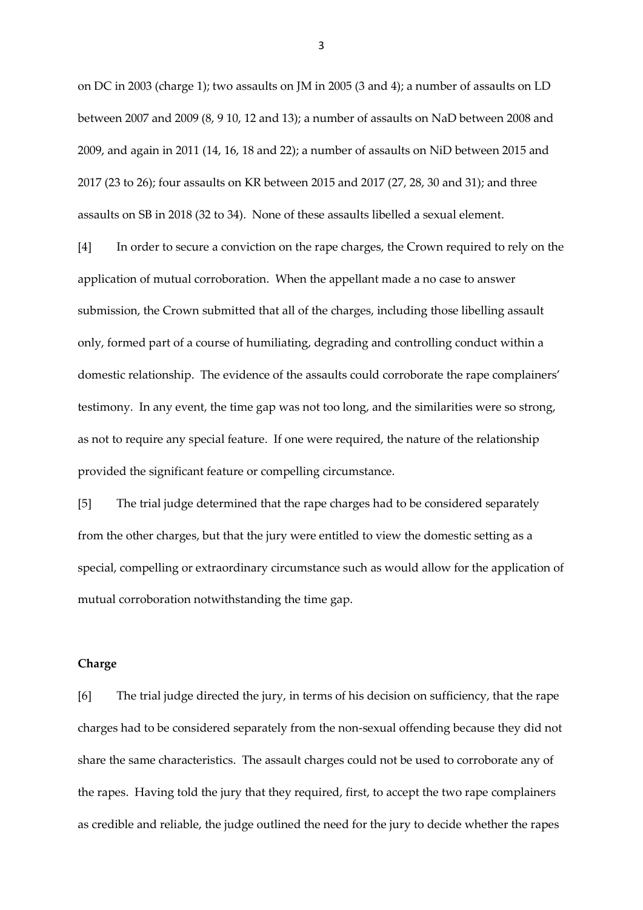on DC in 2003 (charge 1); two assaults on JM in 2005 (3 and 4); a number of assaults on LD between 2007 and 2009 (8, 9 10, 12 and 13); a number of assaults on NaD between 2008 and 2009, and again in 2011 (14, 16, 18 and 22); a number of assaults on NiD between 2015 and 2017 (23 to 26); four assaults on KR between 2015 and 2017 (27, 28, 30 and 31); and three assaults on SB in 2018 (32 to 34). None of these assaults libelled a sexual element.

[4] In order to secure a conviction on the rape charges, the Crown required to rely on the application of mutual corroboration. When the appellant made a no case to answer submission, the Crown submitted that all of the charges, including those libelling assault only, formed part of a course of humiliating, degrading and controlling conduct within a domestic relationship. The evidence of the assaults could corroborate the rape complainers' testimony. In any event, the time gap was not too long, and the similarities were so strong, as not to require any special feature. If one were required, the nature of the relationship provided the significant feature or compelling circumstance.

[5] The trial judge determined that the rape charges had to be considered separately from the other charges, but that the jury were entitled to view the domestic setting as a special, compelling or extraordinary circumstance such as would allow for the application of mutual corroboration notwithstanding the time gap.

### **Charge**

[6] The trial judge directed the jury, in terms of his decision on sufficiency, that the rape charges had to be considered separately from the non-sexual offending because they did not share the same characteristics. The assault charges could not be used to corroborate any of the rapes. Having told the jury that they required, first, to accept the two rape complainers as credible and reliable, the judge outlined the need for the jury to decide whether the rapes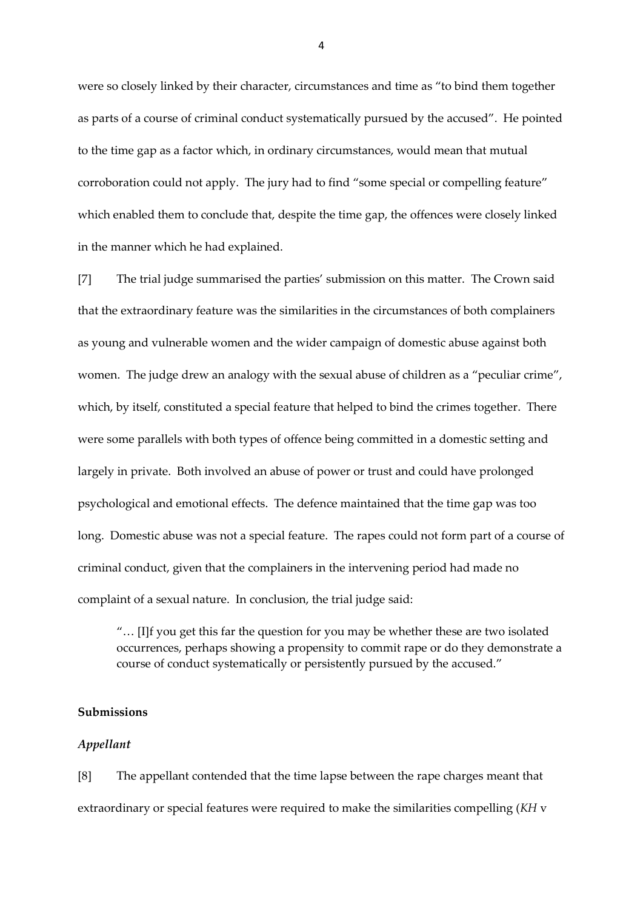were so closely linked by their character, circumstances and time as "to bind them together as parts of a course of criminal conduct systematically pursued by the accused". He pointed to the time gap as a factor which, in ordinary circumstances, would mean that mutual corroboration could not apply. The jury had to find "some special or compelling feature" which enabled them to conclude that, despite the time gap, the offences were closely linked in the manner which he had explained.

[7] The trial judge summarised the parties' submission on this matter. The Crown said that the extraordinary feature was the similarities in the circumstances of both complainers as young and vulnerable women and the wider campaign of domestic abuse against both women. The judge drew an analogy with the sexual abuse of children as a "peculiar crime", which, by itself, constituted a special feature that helped to bind the crimes together. There were some parallels with both types of offence being committed in a domestic setting and largely in private. Both involved an abuse of power or trust and could have prolonged psychological and emotional effects. The defence maintained that the time gap was too long. Domestic abuse was not a special feature. The rapes could not form part of a course of criminal conduct, given that the complainers in the intervening period had made no complaint of a sexual nature. In conclusion, the trial judge said:

"… [I]f you get this far the question for you may be whether these are two isolated occurrences, perhaps showing a propensity to commit rape or do they demonstrate a course of conduct systematically or persistently pursued by the accused."

### **Submissions**

#### *Appellant*

[8] The appellant contended that the time lapse between the rape charges meant that extraordinary or special features were required to make the similarities compelling (*KH* v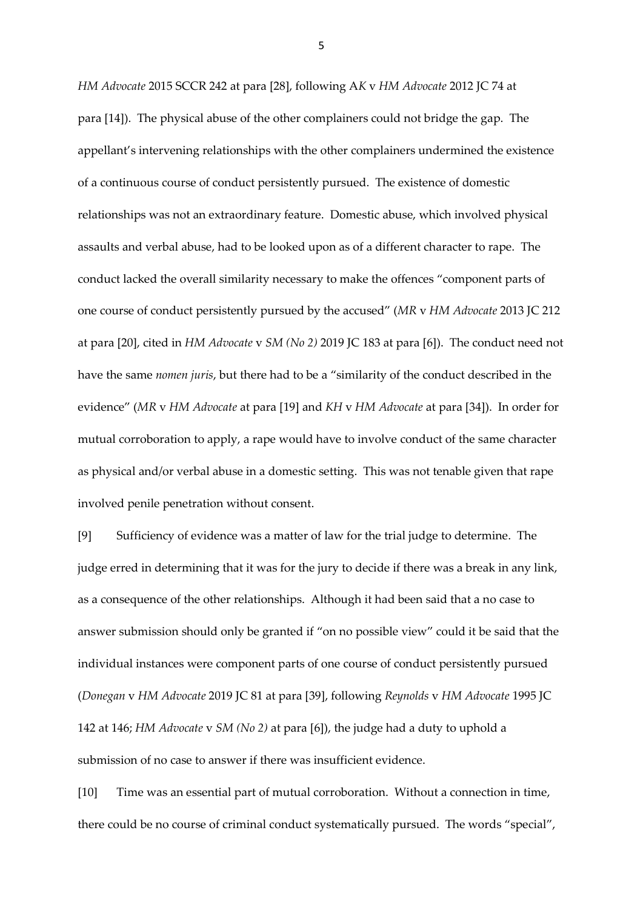*HM Advocate* 2015 SCCR 242 at para [28], following A*K* v *HM Advocate* 2012 JC 74 at para [14]). The physical abuse of the other complainers could not bridge the gap. The appellant's intervening relationships with the other complainers undermined the existence of a continuous course of conduct persistently pursued. The existence of domestic relationships was not an extraordinary feature. Domestic abuse, which involved physical assaults and verbal abuse, had to be looked upon as of a different character to rape. The conduct lacked the overall similarity necessary to make the offences "component parts of one course of conduct persistently pursued by the accused" (*MR* v *HM Advocate* 2013 JC 212 at para [20], cited in *HM Advocate* v *SM (No 2)* 2019 JC 183 at para [6]). The conduct need not have the same *nomen juris*, but there had to be a "similarity of the conduct described in the evidence" (*MR* v *HM Advocate* at para [19] and *KH* v *HM Advocate* at para [34]). In order for mutual corroboration to apply, a rape would have to involve conduct of the same character as physical and/or verbal abuse in a domestic setting. This was not tenable given that rape involved penile penetration without consent.

[9] Sufficiency of evidence was a matter of law for the trial judge to determine. The judge erred in determining that it was for the jury to decide if there was a break in any link, as a consequence of the other relationships. Although it had been said that a no case to answer submission should only be granted if "on no possible view" could it be said that the individual instances were component parts of one course of conduct persistently pursued (*Donegan* v *HM Advocate* 2019 JC 81 at para [39], following *Reynolds* v *HM Advocate* 1995 JC 142 at 146; *HM Advocate* v *SM (No 2)* at para [6]), the judge had a duty to uphold a submission of no case to answer if there was insufficient evidence.

[10] Time was an essential part of mutual corroboration. Without a connection in time, there could be no course of criminal conduct systematically pursued. The words "special",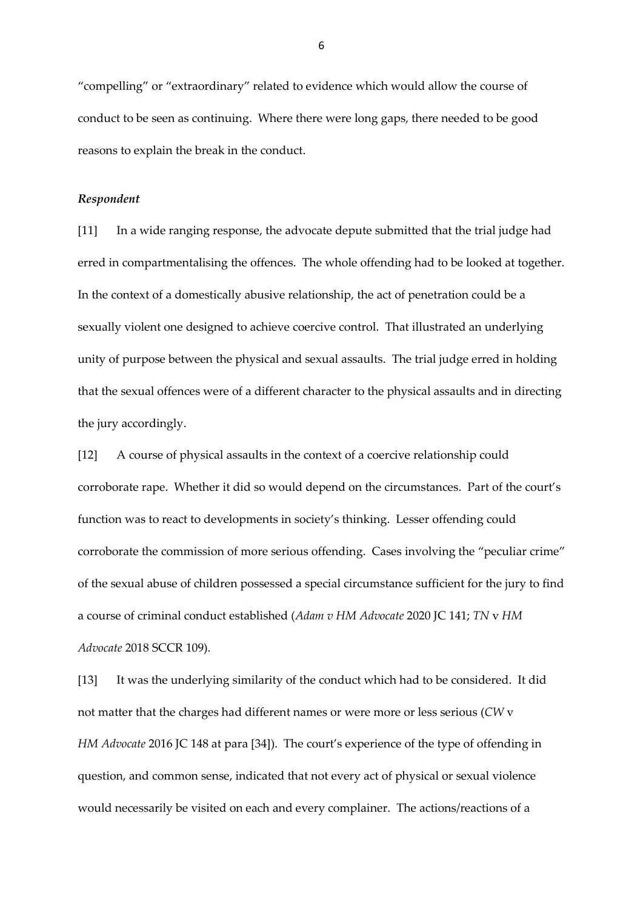"compelling" or "extraordinary" related to evidence which would allow the course of conduct to be seen as continuing. Where there were long gaps, there needed to be good reasons to explain the break in the conduct.

### *Respondent*

[11] In a wide ranging response, the advocate depute submitted that the trial judge had erred in compartmentalising the offences. The whole offending had to be looked at together. In the context of a domestically abusive relationship, the act of penetration could be a sexually violent one designed to achieve coercive control. That illustrated an underlying unity of purpose between the physical and sexual assaults. The trial judge erred in holding that the sexual offences were of a different character to the physical assaults and in directing the jury accordingly.

[12] A course of physical assaults in the context of a coercive relationship could corroborate rape. Whether it did so would depend on the circumstances. Part of the court's function was to react to developments in society's thinking. Lesser offending could corroborate the commission of more serious offending. Cases involving the "peculiar crime" of the sexual abuse of children possessed a special circumstance sufficient for the jury to find a course of criminal conduct established (*Adam v HM Advocate* 2020 JC 141; *TN* v *HM Advocate* 2018 SCCR 109).

[13] It was the underlying similarity of the conduct which had to be considered. It did not matter that the charges had different names or were more or less serious (*CW* v *HM Advocate* 2016 JC 148 at para [34]). The court's experience of the type of offending in question, and common sense, indicated that not every act of physical or sexual violence would necessarily be visited on each and every complainer. The actions/reactions of a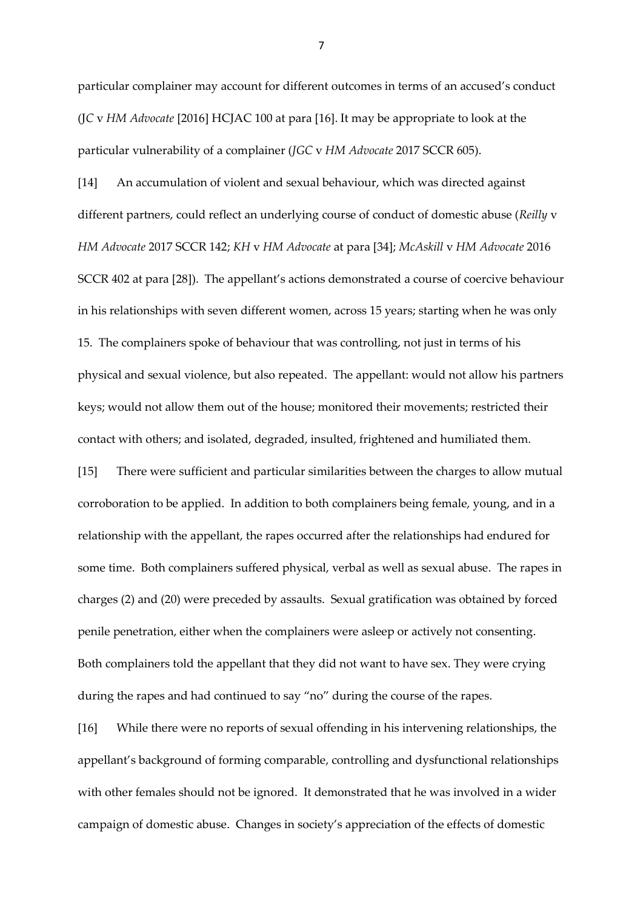particular complainer may account for different outcomes in terms of an accused's conduct (J*C* v *HM Advocate* [2016] HCJAC 100 at para [16]. It may be appropriate to look at the particular vulnerability of a complainer (*JGC* v *HM Advocate* 2017 SCCR 605).

[14] An accumulation of violent and sexual behaviour, which was directed against different partners, could reflect an underlying course of conduct of domestic abuse (*Reilly* v *HM Advocate* 2017 SCCR 142; *KH* v *HM Advocate* at para [34]; *McAskill* v *HM Advocate* 2016 SCCR 402 at para [28]). The appellant's actions demonstrated a course of coercive behaviour in his relationships with seven different women, across 15 years; starting when he was only 15. The complainers spoke of behaviour that was controlling, not just in terms of his physical and sexual violence, but also repeated. The appellant: would not allow his partners keys; would not allow them out of the house; monitored their movements; restricted their contact with others; and isolated, degraded, insulted, frightened and humiliated them.

[15] There were sufficient and particular similarities between the charges to allow mutual corroboration to be applied. In addition to both complainers being female, young, and in a relationship with the appellant, the rapes occurred after the relationships had endured for some time. Both complainers suffered physical, verbal as well as sexual abuse. The rapes in charges (2) and (20) were preceded by assaults. Sexual gratification was obtained by forced penile penetration, either when the complainers were asleep or actively not consenting. Both complainers told the appellant that they did not want to have sex. They were crying during the rapes and had continued to say "no" during the course of the rapes.

[16] While there were no reports of sexual offending in his intervening relationships, the appellant's background of forming comparable, controlling and dysfunctional relationships with other females should not be ignored. It demonstrated that he was involved in a wider campaign of domestic abuse. Changes in society's appreciation of the effects of domestic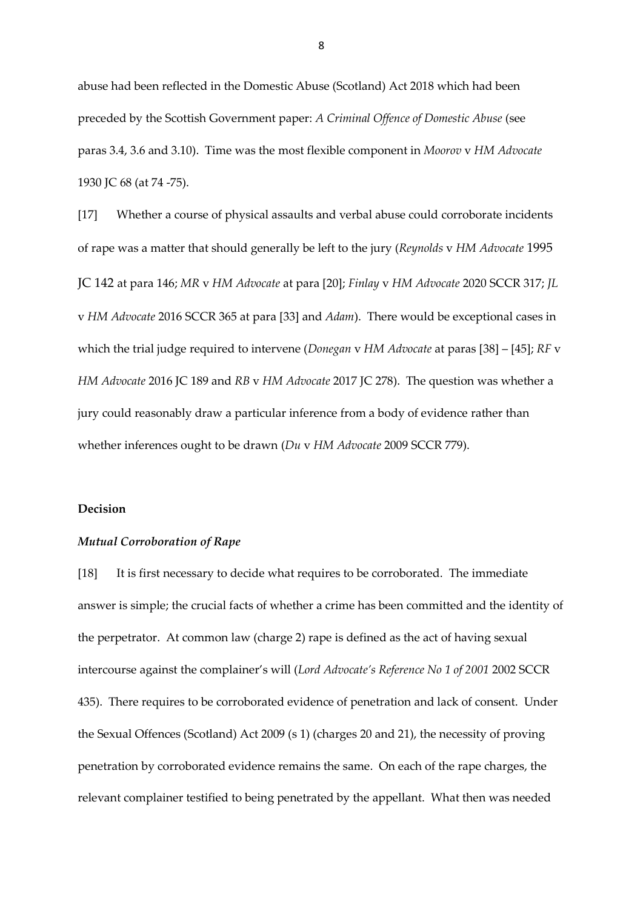abuse had been reflected in the Domestic Abuse (Scotland) Act 2018 which had been preceded by the Scottish Government paper: *A Criminal Offence of Domestic Abuse* (see paras 3.4, 3.6 and 3.10). Time was the most flexible component in *Moorov* v *HM Advocate* 1930 JC 68 (at 74 -75).

[17] Whether a course of physical assaults and verbal abuse could corroborate incidents of rape was a matter that should generally be left to the jury (*Reynolds* v *HM Advocate* 1995 JC 142 at para 146; *MR* v *HM Advocate* at para [20]; *Finlay* v *HM Advocate* 2020 SCCR 317; *JL* v *HM Advocate* 2016 SCCR 365 at para [33] and *Adam*). There would be exceptional cases in which the trial judge required to intervene (*Donegan* v *HM Advocate* at paras [38] – [45]; *RF* v *HM Advocate* 2016 JC 189 and *RB* v *HM Advocate* 2017 JC 278). The question was whether a jury could reasonably draw a particular inference from a body of evidence rather than whether inferences ought to be drawn (*Du* v *HM Advocate* 2009 SCCR 779).

## **Decision**

### *Mutual Corroboration of Rape*

[18] It is first necessary to decide what requires to be corroborated. The immediate answer is simple; the crucial facts of whether a crime has been committed and the identity of the perpetrator. At common law (charge 2) rape is defined as the act of having sexual intercourse against the complainer's will (*Lord Advocate's Reference No 1 of 2001* 2002 SCCR 435). There requires to be corroborated evidence of penetration and lack of consent. Under the Sexual Offences (Scotland) Act 2009 (s 1) (charges 20 and 21), the necessity of proving penetration by corroborated evidence remains the same. On each of the rape charges, the relevant complainer testified to being penetrated by the appellant. What then was needed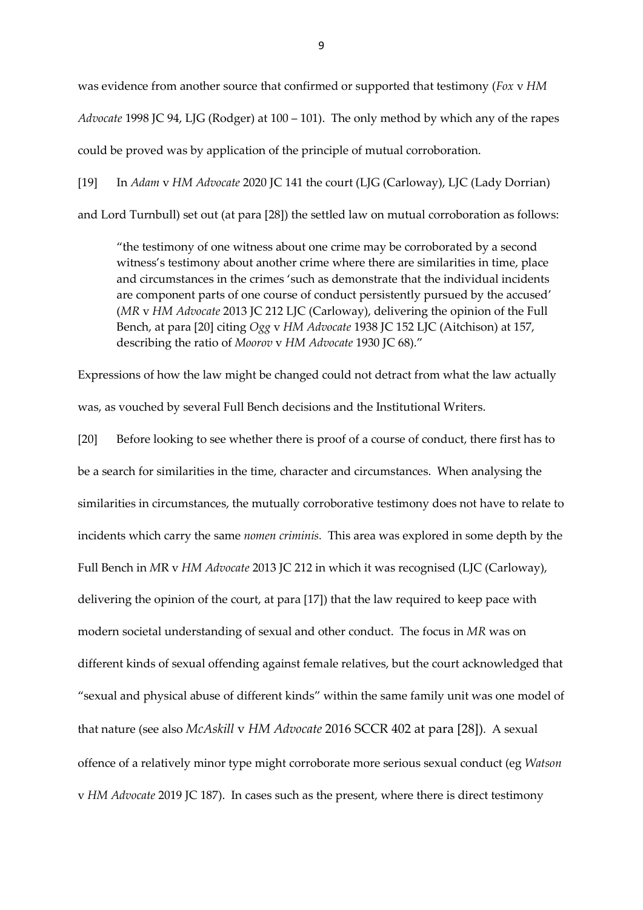was evidence from another source that confirmed or supported that testimony (*Fox* v *HM Advocate* 1998 JC 94, LJG (Rodger) at 100 – 101). The only method by which any of the rapes could be proved was by application of the principle of mutual corroboration.

[19] In *Adam* v *HM Advocate* 2020 JC 141 the court (LJG (Carloway), LJC (Lady Dorrian) and Lord Turnbull) set out (at para [28]) the settled law on mutual corroboration as follows:

"the testimony of one witness about one crime may be corroborated by a second witness's testimony about another crime where there are similarities in time, place and circumstances in the crimes 'such as demonstrate that the individual incidents are component parts of one course of conduct persistently pursued by the accused' (*MR* v *HM Advocate* 2013 JC 212 LJC (Carloway), delivering the opinion of the Full Bench, at para [20] citing *Ogg* v *HM Advocate* 1938 JC 152 LJC (Aitchison) at 157, describing the ratio of *Moorov* v *HM Advocate* 1930 JC 68)."

Expressions of how the law might be changed could not detract from what the law actually was, as vouched by several Full Bench decisions and the Institutional Writers.

[20] Before looking to see whether there is proof of a course of conduct, there first has to be a search for similarities in the time, character and circumstances. When analysing the similarities in circumstances, the mutually corroborative testimony does not have to relate to incidents which carry the same *nomen criminis.* This area was explored in some depth by the Full Bench in *M*R v *HM Advocate* 2013 JC 212 in which it was recognised (LJC (Carloway), delivering the opinion of the court, at para [17]) that the law required to keep pace with modern societal understanding of sexual and other conduct. The focus in *MR* was on different kinds of sexual offending against female relatives, but the court acknowledged that "sexual and physical abuse of different kinds" within the same family unit was one model of that nature (see also *McAskill* v *HM Advocate* 2016 SCCR 402 at para [28]). A sexual offence of a relatively minor type might corroborate more serious sexual conduct (eg *Watson*  v *HM Advocate* 2019 JC 187). In cases such as the present, where there is direct testimony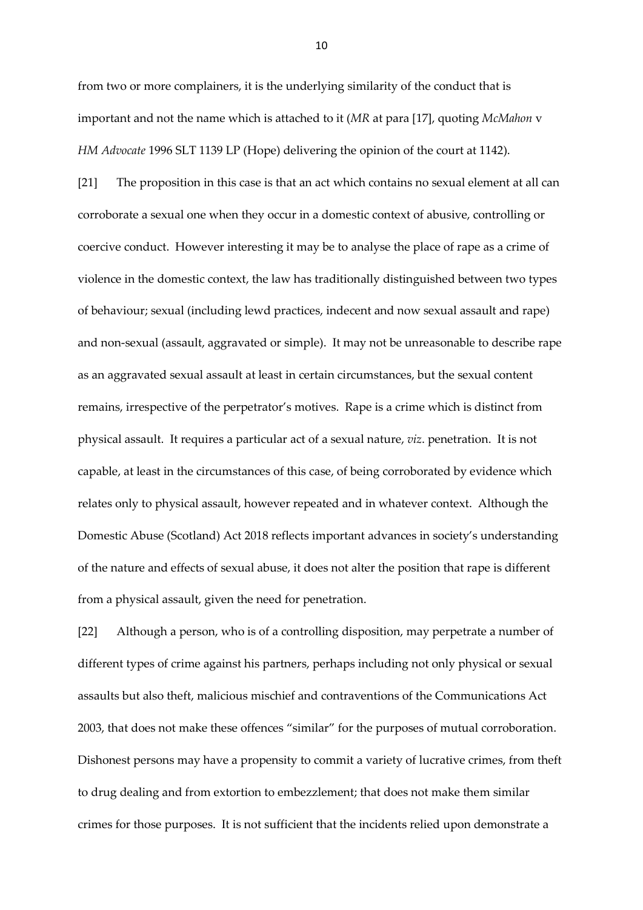from two or more complainers, it is the underlying similarity of the conduct that is important and not the name which is attached to it (*MR* at para [17], quoting *McMahon* v *HM Advocate* 1996 SLT 1139 LP (Hope) delivering the opinion of the court at 1142).

[21] The proposition in this case is that an act which contains no sexual element at all can corroborate a sexual one when they occur in a domestic context of abusive, controlling or coercive conduct. However interesting it may be to analyse the place of rape as a crime of violence in the domestic context, the law has traditionally distinguished between two types of behaviour; sexual (including lewd practices, indecent and now sexual assault and rape) and non-sexual (assault, aggravated or simple). It may not be unreasonable to describe rape as an aggravated sexual assault at least in certain circumstances, but the sexual content remains, irrespective of the perpetrator's motives. Rape is a crime which is distinct from physical assault. It requires a particular act of a sexual nature, *viz*. penetration. It is not capable, at least in the circumstances of this case, of being corroborated by evidence which relates only to physical assault, however repeated and in whatever context. Although the Domestic Abuse (Scotland) Act 2018 reflects important advances in society's understanding of the nature and effects of sexual abuse, it does not alter the position that rape is different from a physical assault, given the need for penetration.

[22] Although a person, who is of a controlling disposition, may perpetrate a number of different types of crime against his partners, perhaps including not only physical or sexual assaults but also theft, malicious mischief and contraventions of the Communications Act 2003, that does not make these offences "similar" for the purposes of mutual corroboration. Dishonest persons may have a propensity to commit a variety of lucrative crimes, from theft to drug dealing and from extortion to embezzlement; that does not make them similar crimes for those purposes. It is not sufficient that the incidents relied upon demonstrate a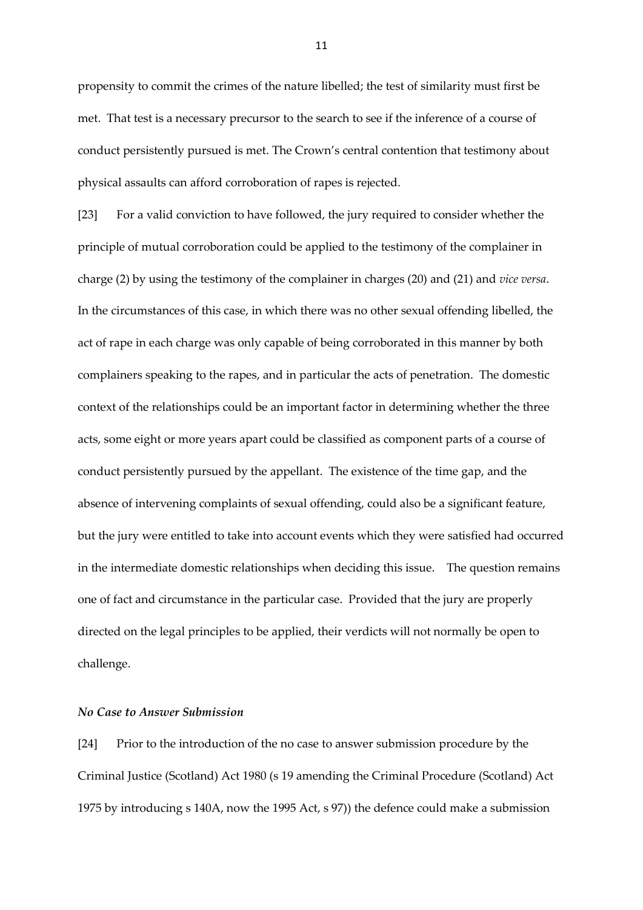propensity to commit the crimes of the nature libelled; the test of similarity must first be met. That test is a necessary precursor to the search to see if the inference of a course of conduct persistently pursued is met. The Crown's central contention that testimony about physical assaults can afford corroboration of rapes is rejected.

[23] For a valid conviction to have followed, the jury required to consider whether the principle of mutual corroboration could be applied to the testimony of the complainer in charge (2) by using the testimony of the complainer in charges (20) and (21) and *vice versa*. In the circumstances of this case, in which there was no other sexual offending libelled, the act of rape in each charge was only capable of being corroborated in this manner by both complainers speaking to the rapes, and in particular the acts of penetration. The domestic context of the relationships could be an important factor in determining whether the three acts, some eight or more years apart could be classified as component parts of a course of conduct persistently pursued by the appellant. The existence of the time gap, and the absence of intervening complaints of sexual offending, could also be a significant feature, but the jury were entitled to take into account events which they were satisfied had occurred in the intermediate domestic relationships when deciding this issue. The question remains one of fact and circumstance in the particular case. Provided that the jury are properly directed on the legal principles to be applied, their verdicts will not normally be open to challenge.

#### *No Case to Answer Submission*

[24] Prior to the introduction of the no case to answer submission procedure by the Criminal Justice (Scotland) Act 1980 (s 19 amending the Criminal Procedure (Scotland) Act 1975 by introducing s 140A, now the 1995 Act, s 97)) the defence could make a submission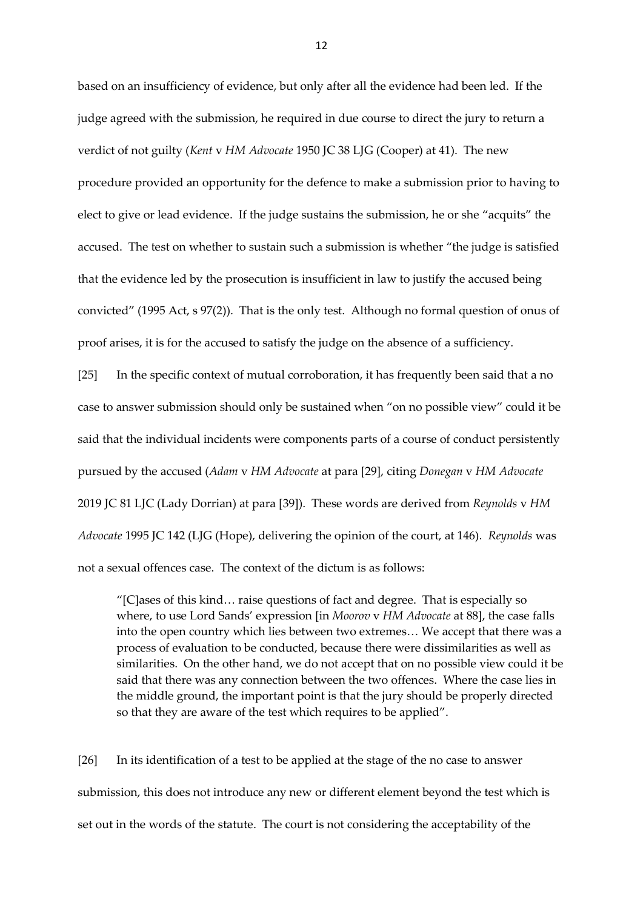based on an insufficiency of evidence, but only after all the evidence had been led. If the judge agreed with the submission, he required in due course to direct the jury to return a verdict of not guilty (*Kent* v *HM Advocate* 1950 JC 38 LJG (Cooper) at 41). The new procedure provided an opportunity for the defence to make a submission prior to having to elect to give or lead evidence. If the judge sustains the submission, he or she "acquits" the accused. The test on whether to sustain such a submission is whether "the judge is satisfied that the evidence led by the prosecution is insufficient in law to justify the accused being convicted" (1995 Act, s 97(2)). That is the only test. Although no formal question of onus of proof arises, it is for the accused to satisfy the judge on the absence of a sufficiency.

[25] In the specific context of mutual corroboration, it has frequently been said that a no case to answer submission should only be sustained when "on no possible view" could it be said that the individual incidents were components parts of a course of conduct persistently pursued by the accused (*Adam* v *HM Advocate* at para [29], citing *Donegan* v *HM Advocate* 2019 JC 81 LJC (Lady Dorrian) at para [39]). These words are derived from *Reynolds* v *HM Advocate* 1995 JC 142 (LJG (Hope), delivering the opinion of the court, at 146). *Reynolds* was not a sexual offences case. The context of the dictum is as follows:

"[C]ases of this kind… raise questions of fact and degree. That is especially so where, to use Lord Sands' expression [in *Moorov* v *HM Advocate* at 88], the case falls into the open country which lies between two extremes… We accept that there was a process of evaluation to be conducted, because there were dissimilarities as well as similarities. On the other hand, we do not accept that on no possible view could it be said that there was any connection between the two offences. Where the case lies in the middle ground, the important point is that the jury should be properly directed so that they are aware of the test which requires to be applied".

[26] In its identification of a test to be applied at the stage of the no case to answer submission, this does not introduce any new or different element beyond the test which is set out in the words of the statute. The court is not considering the acceptability of the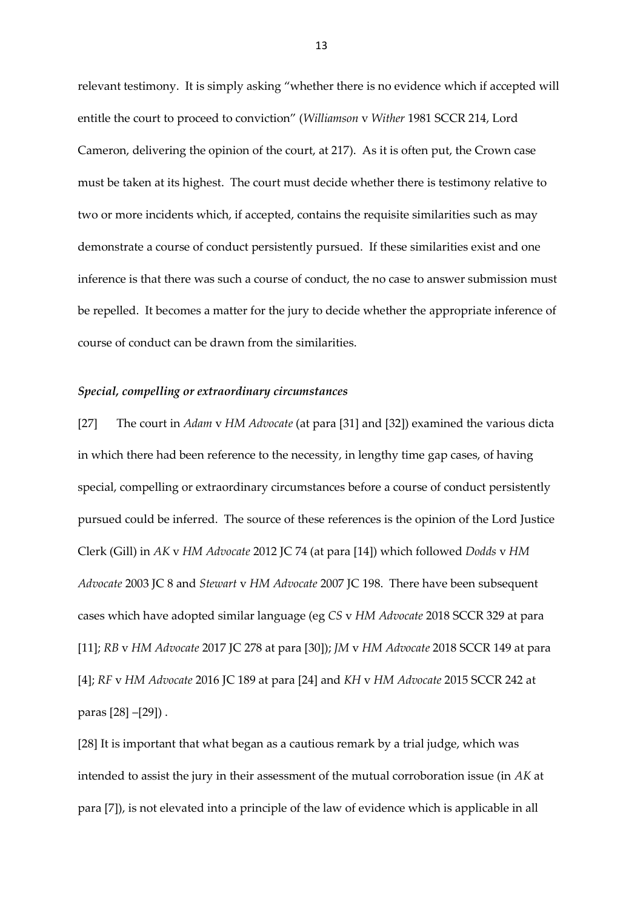relevant testimony. It is simply asking "whether there is no evidence which if accepted will entitle the court to proceed to conviction" (*Williamson* v *Wither* 1981 SCCR 214, Lord Cameron, delivering the opinion of the court, at 217). As it is often put, the Crown case must be taken at its highest. The court must decide whether there is testimony relative to two or more incidents which, if accepted, contains the requisite similarities such as may demonstrate a course of conduct persistently pursued. If these similarities exist and one inference is that there was such a course of conduct, the no case to answer submission must be repelled. It becomes a matter for the jury to decide whether the appropriate inference of course of conduct can be drawn from the similarities.

#### *Special, compelling or extraordinary circumstances*

[27] The court in *Adam* v *HM Advocate* (at para [31] and [32]) examined the various dicta in which there had been reference to the necessity, in lengthy time gap cases, of having special, compelling or extraordinary circumstances before a course of conduct persistently pursued could be inferred. The source of these references is the opinion of the Lord Justice Clerk (Gill) in *AK* v *HM Advocate* 2012 JC 74 (at para [14]) which followed *Dodds* v *HM Advocate* 2003 JC 8 and *Stewart* v *HM Advocate* 2007 JC 198. There have been subsequent cases which have adopted similar language (eg *CS* v *HM Advocate* 2018 SCCR 329 at para [11]; *RB* v *HM Advocate* 2017 JC 278 at para [30]); *JM* v *HM Advocate* 2018 SCCR 149 at para [4]; *RF* v *HM Advocate* 2016 JC 189 at para [24] and *KH* v *HM Advocate* 2015 SCCR 242 at paras [28] –[29]) .

[28] It is important that what began as a cautious remark by a trial judge, which was intended to assist the jury in their assessment of the mutual corroboration issue (in *AK* at para [7]), is not elevated into a principle of the law of evidence which is applicable in all